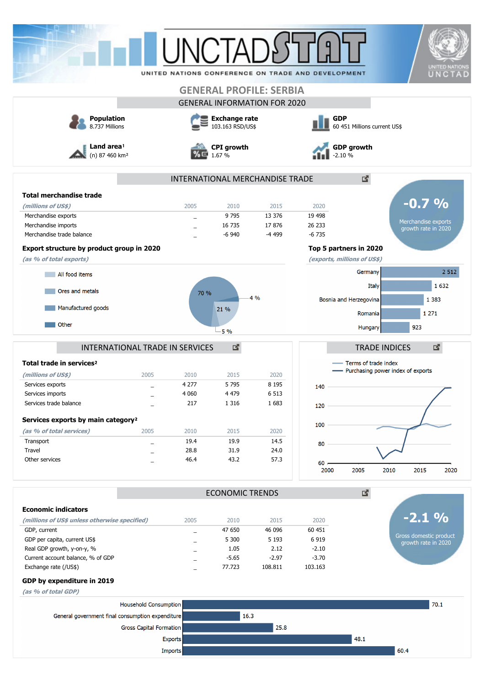|                                                      |                                     |                             |                                          |                                     |                                                    |                                            |                                               | <b>UNITED NATIONS</b> |  |  |
|------------------------------------------------------|-------------------------------------|-----------------------------|------------------------------------------|-------------------------------------|----------------------------------------------------|--------------------------------------------|-----------------------------------------------|-----------------------|--|--|
|                                                      |                                     |                             |                                          |                                     | UNITED NATIONS CONFERENCE ON TRADE AND DEVELOPMENT |                                            |                                               | UNCTAD                |  |  |
|                                                      |                                     |                             |                                          | <b>GENERAL PROFILE: SERBIA</b>      |                                                    |                                            |                                               |                       |  |  |
|                                                      |                                     |                             |                                          | <b>GENERAL INFORMATION FOR 2020</b> |                                                    |                                            |                                               |                       |  |  |
|                                                      |                                     |                             |                                          |                                     |                                                    |                                            |                                               |                       |  |  |
|                                                      | <b>Population</b><br>8.737 Millions |                             | <b>Exchange rate</b><br>103.163 RSD/US\$ |                                     |                                                    | <b>GDP</b><br>60 451 Millions current US\$ |                                               |                       |  |  |
| Land area <sup>1</sup><br>(n) 87 460 km <sup>2</sup> |                                     | <b>CPI</b> growth<br>1.67 % |                                          |                                     | <b>GDP growth</b><br>$-2.10%$                      |                                            |                                               |                       |  |  |
|                                                      |                                     |                             |                                          | INTERNATIONAL MERCHANDISE TRADE     |                                                    | 國                                          |                                               |                       |  |  |
| <b>Total merchandise trade</b>                       |                                     |                             |                                          |                                     |                                                    |                                            |                                               |                       |  |  |
| (millions of US\$)                                   |                                     | 2005                        | 2010                                     | 2015                                | 2020                                               |                                            | $-0.7\%$                                      |                       |  |  |
| Merchandise exports                                  |                                     |                             | 9 7 9 5                                  | 13 376                              | 19 4 98                                            |                                            |                                               |                       |  |  |
| Merchandise imports                                  |                                     |                             | 16 735                                   | 17876                               | 26 233                                             |                                            | Merchandise exports<br>growth rate in 2020    |                       |  |  |
| Merchandise trade balance                            |                                     |                             | $-6940$                                  | -4 499                              | $-6735$                                            |                                            |                                               |                       |  |  |
| Export structure by product group in 2020            |                                     |                             |                                          |                                     |                                                    | Top 5 partners in 2020                     |                                               |                       |  |  |
| (as % of total exports)                              |                                     |                             |                                          |                                     | (exports, millions of US\$)                        |                                            |                                               |                       |  |  |
| All food items                                       |                                     |                             |                                          |                                     |                                                    | Germany                                    |                                               | 2 5 1 2               |  |  |
|                                                      |                                     |                             |                                          |                                     |                                                    |                                            |                                               | 1 6 3 2               |  |  |
| Ores and metals                                      |                                     | 70 %                        |                                          |                                     |                                                    | Italy                                      |                                               |                       |  |  |
|                                                      |                                     |                             |                                          | 4%                                  |                                                    | Bosnia and Herzegovina                     | 1 3 8 3                                       |                       |  |  |
| Manufactured goods                                   |                                     |                             | 21 %                                     |                                     |                                                    | Romania                                    | 1 2 7 1                                       |                       |  |  |
| Other                                                |                                     |                             |                                          |                                     |                                                    | Hungary                                    | 923                                           |                       |  |  |
|                                                      |                                     |                             |                                          |                                     |                                                    |                                            |                                               |                       |  |  |
|                                                      | INTERNATIONAL TRADE IN SERVICES     |                             | 國                                        |                                     |                                                    | <b>TRADE INDICES</b>                       |                                               | 國                     |  |  |
| Total trade in services <sup>2</sup>                 |                                     |                             |                                          |                                     |                                                    | Terms of trade index                       |                                               |                       |  |  |
| (millions of US\$)                                   | 2005                                | 2010                        | 2015                                     | 2020                                |                                                    | Purchasing power index of exports          |                                               |                       |  |  |
| Services exports                                     | $\overline{\phantom{0}}$            | 4 277                       | 5 7 9 5                                  | 8 1 9 5                             | 140                                                |                                            |                                               |                       |  |  |
| Services imports                                     |                                     | 4 0 6 0                     | 4 4 7 9                                  | 6 5 1 3                             |                                                    |                                            |                                               |                       |  |  |
| Services trade balance                               |                                     | 217                         | 1 3 1 6                                  | 1683                                | 120                                                |                                            |                                               |                       |  |  |
| Services exports by main category <sup>2</sup>       |                                     |                             |                                          |                                     |                                                    |                                            |                                               |                       |  |  |
| (as % of total services)                             | 2005                                | 2010                        | 2015                                     | 2020                                | 100                                                |                                            |                                               |                       |  |  |
| Transport                                            |                                     | 19.4                        | 19.9                                     | 14.5                                |                                                    |                                            |                                               |                       |  |  |
| Travel                                               | $\overline{\phantom{0}}$            | 28.8                        | 31.9                                     | 24.0                                | 80                                                 |                                            |                                               |                       |  |  |
| Other services                                       |                                     | 46.4                        | 43.2                                     | 57.3                                | $60$ .                                             |                                            |                                               |                       |  |  |
|                                                      |                                     |                             |                                          |                                     | 2000                                               | 2005<br>2010                               | 2015                                          | 2020                  |  |  |
|                                                      |                                     |                             | <b>ECONOMIC TRENDS</b>                   |                                     |                                                    | 凶.                                         |                                               |                       |  |  |
| <b>Economic indicators</b>                           |                                     |                             |                                          |                                     |                                                    |                                            |                                               |                       |  |  |
| (millions of US\$ unless otherwise specified)        |                                     | 2005                        | 2010                                     | 2015                                | 2020                                               |                                            | $-2.1%$                                       |                       |  |  |
| GDP, current                                         |                                     |                             | 47 650                                   | 46 096                              | 60 451                                             |                                            |                                               |                       |  |  |
| GDP per capita, current US\$                         |                                     | $\overline{\phantom{0}}$    | 5 3 0 0                                  | 5 1 9 3                             | 6919                                               |                                            | Gross domestic product<br>growth rate in 2020 |                       |  |  |
| Real GDP growth, y-on-y, %                           |                                     |                             | 1.05                                     | 2.12                                | $-2.10$                                            |                                            |                                               |                       |  |  |
| Current account balance, % of GDP                    |                                     |                             | $-5.65$                                  | $-2.97$                             | $-3.70$                                            |                                            |                                               |                       |  |  |
| Exchange rate (/US\$)                                |                                     |                             | 77.723                                   | 108.811                             | 103.163                                            |                                            |                                               |                       |  |  |
| GDP by expenditure in 2019<br>(as % of total GDP)    |                                     |                             |                                          |                                     |                                                    |                                            |                                               |                       |  |  |
|                                                      |                                     |                             |                                          |                                     |                                                    |                                            |                                               |                       |  |  |
|                                                      | Household Consumption               |                             |                                          |                                     |                                                    |                                            |                                               | 70.1                  |  |  |
| General government final consumption expenditure     |                                     |                             | 16.3                                     |                                     |                                                    |                                            |                                               |                       |  |  |
|                                                      | Gross Capital Formation             |                             |                                          | 25.8                                |                                                    |                                            |                                               |                       |  |  |
|                                                      | <b>Exports</b>                      |                             |                                          |                                     |                                                    | 48.1                                       |                                               |                       |  |  |
|                                                      | <b>Imports</b>                      |                             |                                          |                                     |                                                    |                                            | 60.4                                          |                       |  |  |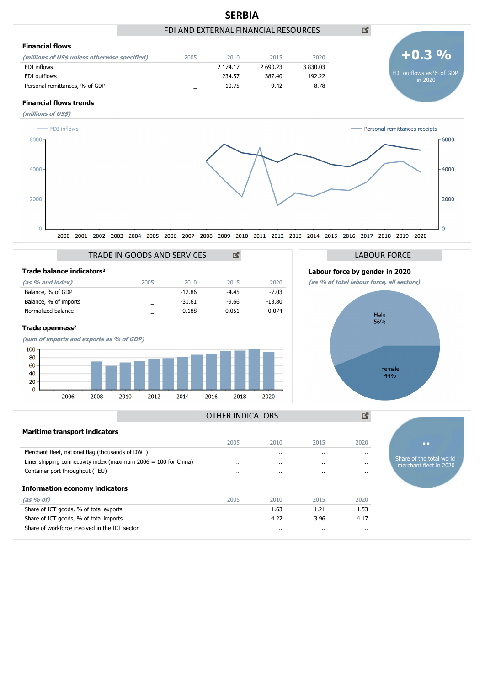

|                                                                    | ----      |           |           |          |
|--------------------------------------------------------------------|-----------|-----------|-----------|----------|
| Merchant fleet, national flag (thousands of DWT)                   |           | $\cdot$   | $\cdot$ . | $\cdot$  |
| Liner shipping connectivity index (maximum $2006 = 100$ for China) | $\cdot$ . | $\cdot$   | $\cdot$ . | $\cdot$  |
| Container port throughput (TEU)                                    | $\cdot$ . | $\cdot$   | $\cdot$ . | $\cdot$  |
| <b>Information economy indicators</b>                              |           |           |           |          |
| (as % of)                                                          | 2005      | 2010      | 2015      | 2020     |
| Share of ICT goods, % of total exports                             |           | 1.63      | 1.21      | 1.53     |
| Share of ICT goods, % of total imports                             |           | 4.22      | 3.96      | 4.17     |
| Share of workforce involved in the ICT sector                      |           | $\cdot$ . | $\cdots$  | $\cdots$ |